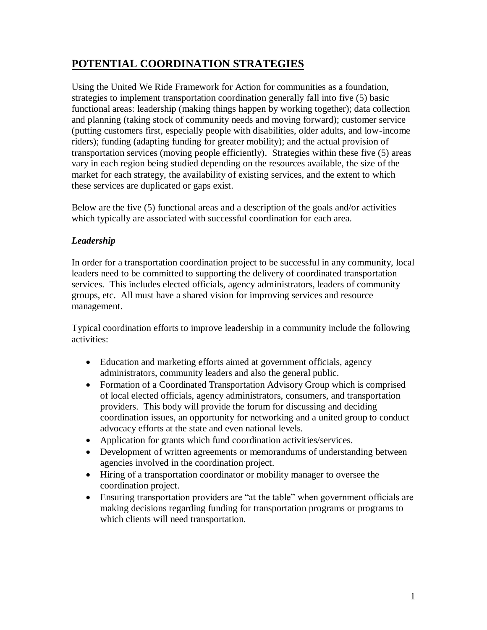# **POTENTIAL COORDINATION STRATEGIES**

Using the United We Ride Framework for Action for communities as a foundation, strategies to implement transportation coordination generally fall into five (5) basic functional areas: leadership (making things happen by working together); data collection and planning (taking stock of community needs and moving forward); customer service (putting customers first, especially people with disabilities, older adults, and low-income riders); funding (adapting funding for greater mobility); and the actual provision of transportation services (moving people efficiently). Strategies within these five (5) areas vary in each region being studied depending on the resources available, the size of the market for each strategy, the availability of existing services, and the extent to which these services are duplicated or gaps exist.

Below are the five (5) functional areas and a description of the goals and/or activities which typically are associated with successful coordination for each area.

### *Leadership*

In order for a transportation coordination project to be successful in any community, local leaders need to be committed to supporting the delivery of coordinated transportation services. This includes elected officials, agency administrators, leaders of community groups, etc. All must have a shared vision for improving services and resource management.

Typical coordination efforts to improve leadership in a community include the following activities:

- Education and marketing efforts aimed at government officials, agency administrators, community leaders and also the general public.
- Formation of a Coordinated Transportation Advisory Group which is comprised of local elected officials, agency administrators, consumers, and transportation providers. This body will provide the forum for discussing and deciding coordination issues, an opportunity for networking and a united group to conduct advocacy efforts at the state and even national levels.
- Application for grants which fund coordination activities/services.
- Development of written agreements or memorandums of understanding between agencies involved in the coordination project.
- Hiring of a transportation coordinator or mobility manager to oversee the coordination project.
- Ensuring transportation providers are "at the table" when government officials are making decisions regarding funding for transportation programs or programs to which clients will need transportation.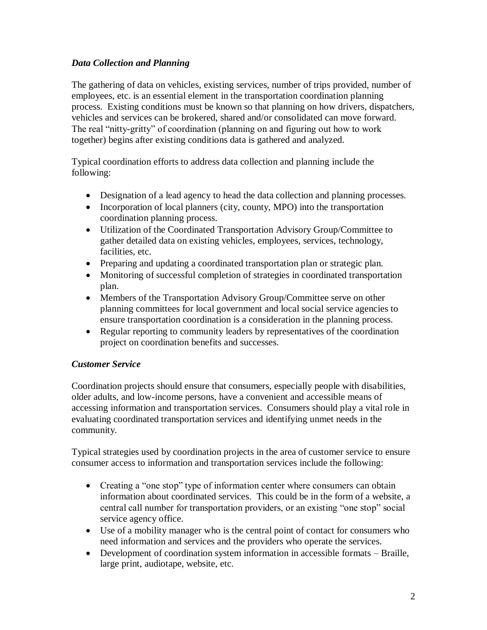### *Data Collection and Planning*

The gathering of data on vehicles, existing services, number of trips provided, number of employees, etc. is an essential element in the transportation coordination planning process. Existing conditions must be known so that planning on how drivers, dispatchers, vehicles and services can be brokered, shared and/or consolidated can move forward. The real "nitty-gritty" of coordination (planning on and figuring out how to work together) begins after existing conditions data is gathered and analyzed.

Typical coordination efforts to address data collection and planning include the following:

- Designation of a lead agency to head the data collection and planning processes.
- Incorporation of local planners (city, county, MPO) into the transportation coordination planning process.
- Utilization of the Coordinated Transportation Advisory Group/Committee to gather detailed data on existing vehicles, employees, services, technology, facilities, etc.
- Preparing and updating a coordinated transportation plan or strategic plan.
- Monitoring of successful completion of strategies in coordinated transportation plan.
- Members of the Transportation Advisory Group/Committee serve on other planning committees for local government and local social service agencies to ensure transportation coordination is a consideration in the planning process.
- Regular reporting to community leaders by representatives of the coordination project on coordination benefits and successes.

## *Customer Service*

Coordination projects should ensure that consumers, especially people with disabilities, older adults, and low-income persons, have a convenient and accessible means of accessing information and transportation services. Consumers should play a vital role in evaluating coordinated transportation services and identifying unmet needs in the community.

Typical strategies used by coordination projects in the area of customer service to ensure consumer access to information and transportation services include the following:

- Creating a "one stop" type of information center where consumers can obtain information about coordinated services. This could be in the form of a website, a central call number for transportation providers, or an existing "one stop" social service agency office.
- Use of a mobility manager who is the central point of contact for consumers who need information and services and the providers who operate the services.
- Development of coordination system information in accessible formats Braille, large print, audiotape, website, etc.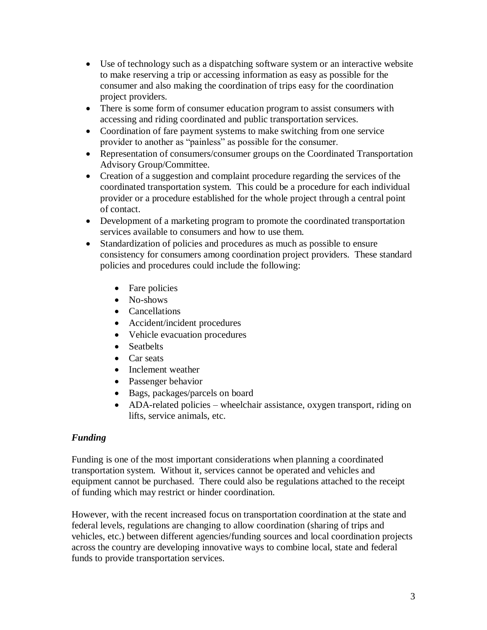- Use of technology such as a dispatching software system or an interactive website to make reserving a trip or accessing information as easy as possible for the consumer and also making the coordination of trips easy for the coordination project providers.
- There is some form of consumer education program to assist consumers with accessing and riding coordinated and public transportation services.
- Coordination of fare payment systems to make switching from one service provider to another as "painless" as possible for the consumer.
- Representation of consumers/consumer groups on the Coordinated Transportation Advisory Group/Committee.
- Creation of a suggestion and complaint procedure regarding the services of the coordinated transportation system. This could be a procedure for each individual provider or a procedure established for the whole project through a central point of contact.
- Development of a marketing program to promote the coordinated transportation services available to consumers and how to use them.
- Standardization of policies and procedures as much as possible to ensure consistency for consumers among coordination project providers. These standard policies and procedures could include the following:
	- Fare policies
	- No-shows
	- Cancellations
	- Accident/incident procedures
	- Vehicle evacuation procedures
	- Seatbelts
	- Car seats
	- Inclement weather
	- Passenger behavior
	- Bags, packages/parcels on board
	- ADA-related policies wheelchair assistance, oxygen transport, riding on lifts, service animals, etc.

## *Funding*

Funding is one of the most important considerations when planning a coordinated transportation system. Without it, services cannot be operated and vehicles and equipment cannot be purchased. There could also be regulations attached to the receipt of funding which may restrict or hinder coordination.

However, with the recent increased focus on transportation coordination at the state and federal levels, regulations are changing to allow coordination (sharing of trips and vehicles, etc.) between different agencies/funding sources and local coordination projects across the country are developing innovative ways to combine local, state and federal funds to provide transportation services.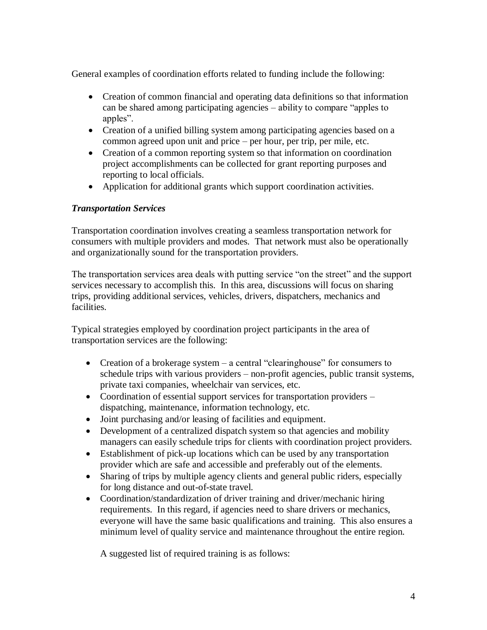General examples of coordination efforts related to funding include the following:

- Creation of common financial and operating data definitions so that information can be shared among participating agencies – ability to compare "apples to apples".
- Creation of a unified billing system among participating agencies based on a common agreed upon unit and price – per hour, per trip, per mile, etc.
- Creation of a common reporting system so that information on coordination project accomplishments can be collected for grant reporting purposes and reporting to local officials.
- Application for additional grants which support coordination activities.

### *Transportation Services*

Transportation coordination involves creating a seamless transportation network for consumers with multiple providers and modes. That network must also be operationally and organizationally sound for the transportation providers.

The transportation services area deals with putting service "on the street" and the support services necessary to accomplish this. In this area, discussions will focus on sharing trips, providing additional services, vehicles, drivers, dispatchers, mechanics and facilities.

Typical strategies employed by coordination project participants in the area of transportation services are the following:

- Creation of a brokerage system a central "clearinghouse" for consumers to schedule trips with various providers – non-profit agencies, public transit systems, private taxi companies, wheelchair van services, etc.
- Coordination of essential support services for transportation providers dispatching, maintenance, information technology, etc.
- Joint purchasing and/or leasing of facilities and equipment.
- Development of a centralized dispatch system so that agencies and mobility managers can easily schedule trips for clients with coordination project providers.
- Establishment of pick-up locations which can be used by any transportation provider which are safe and accessible and preferably out of the elements.
- Sharing of trips by multiple agency clients and general public riders, especially for long distance and out-of-state travel.
- Coordination/standardization of driver training and driver/mechanic hiring requirements. In this regard, if agencies need to share drivers or mechanics, everyone will have the same basic qualifications and training. This also ensures a minimum level of quality service and maintenance throughout the entire region.

A suggested list of required training is as follows: